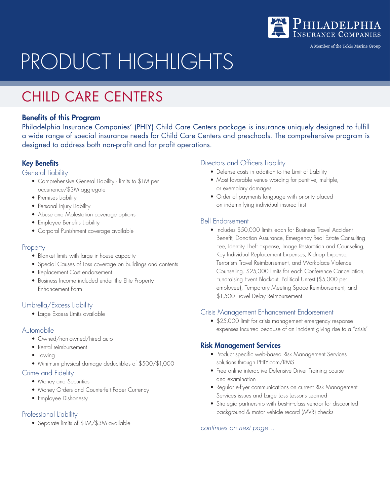

A Member of the Tokio Marine Group

# PRODUCT HIGHLIGHTS

### CHILD CARE CENTERS

#### Benefits of this Program

Philadelphia Insurance Companies' (PHLY) Child Care Centers package is insurance uniquely designed to fulfill a wide range of special insurance needs for Child Care Centers and preschools. The comprehensive program is designed to address both non-profit and for profit operations.

#### Key Benefits

#### General Liability

- Comprehensive General Liability limits to \$1M per occurrence/\$3M aggregate
- Premises Liability
- Personal Injury Liability
- Abuse and Molestation coverage options
- Employee Benefits Liability
- • Corporal Punishment coverage available

#### Property

- Blanket limits with large in-house capacity
- Special Causes of Loss coverage on buildings and contents
- Replacement Cost endorsement
- Business Income included under the Elite Property Enhancement Form

#### Umbrella/Excess Liability

• Large Excess Limits available

#### Automobile

- Owned/non-owned/hired auto
- Rental reimbursement
- Towing
- • Minimum physical damage deductibles of \$500/\$1,000

#### Crime and Fidelity

- Money and Securities
- Money Orders and Counterfeit Paper Currency
- Employee Dishonesty

#### Professional Liability

• Separate limits of \$1M/\$3M available

#### Directors and Officers Liability

- Defense costs in addition to the Limit of Liability
- Most favorable venue wording for punitive, multiple, or exemplary damages
- Order of payments language with priority placed on indemnifying individual insured first

#### Bell Endorsement

• Includes \$50,000 limits each for Business Travel Accident Benefit, Donation Assurance, Emergency Real Estate Consulting Fee, Identity Theft Expense, Image Restoration and Counseling, Key Individual Replacement Expenses, Kidnap Expense, Terrorism Travel Reimbursement, and Workplace Violence Counseling. \$25,000 limits for each Conference Cancellation, Fundraising Event Blackout, Political Unrest (\$5,000 per employee), Temporary Meeting Space Reimbursement, and \$1,500 Travel Delay Reimbursement

#### Crisis Management Enhancement Endorsement

• \$25,000 limit for crisis management emergency response expenses incurred because of an incident giving rise to a "crisis"

#### Risk Management Services

- Product specific web-based Risk Management Services solutions through PHLY.com/RMS
- Free online interactive Defensive Driver Training course and examination
- Regular e-flyer communications on current Risk Management Services issues and Large Loss Lessons Learned
- Strategic partnership with best-in-class vendor for discounted background & motor vehicle record (MVR) checks

*continues on next page...*